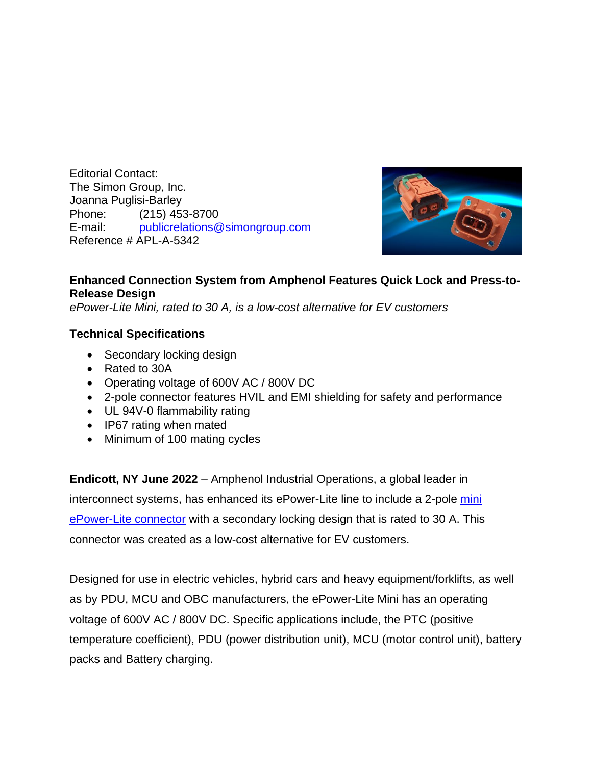Editorial Contact: The Simon Group, Inc. Joanna Puglisi-Barley Phone: (215) 453-8700 E-mail: [publicrelations@simongroup.com](mailto:publicrelations@simongroup.com) Reference # APL-A-5342



## **Enhanced Connection System from Amphenol Features Quick Lock and Press-to-Release Design**

*ePower-Lite Mini, rated to 30 A, is a low-cost alternative for EV customers*

## **Technical Specifications**

- Secondary locking design
- Rated to 30A
- Operating voltage of 600V AC / 800V DC
- 2-pole connector features HVIL and EMI shielding for safety and performance
- UL 94V-0 flammability rating
- IP67 rating when mated
- Minimum of 100 mating cycles

**Endicott, NY June 2022** – Amphenol Industrial Operations, a global leader in interconnect systems, has enhanced its ePower-Lite line to include a 2-pole [mini](https://www.amphenol-industrial.com/epower-lite)  [ePower-Lite connector](https://www.amphenol-industrial.com/epower-lite) with a secondary locking design that is rated to 30 A. This connector was created as a low-cost alternative for EV customers.

Designed for use in electric vehicles, hybrid cars and heavy equipment/forklifts, as well as by PDU, MCU and OBC manufacturers, the ePower-Lite Mini has an operating voltage of 600V AC / 800V DC. Specific applications include, the PTC (positive temperature coefficient), PDU (power distribution unit), MCU (motor control unit), battery packs and Battery charging.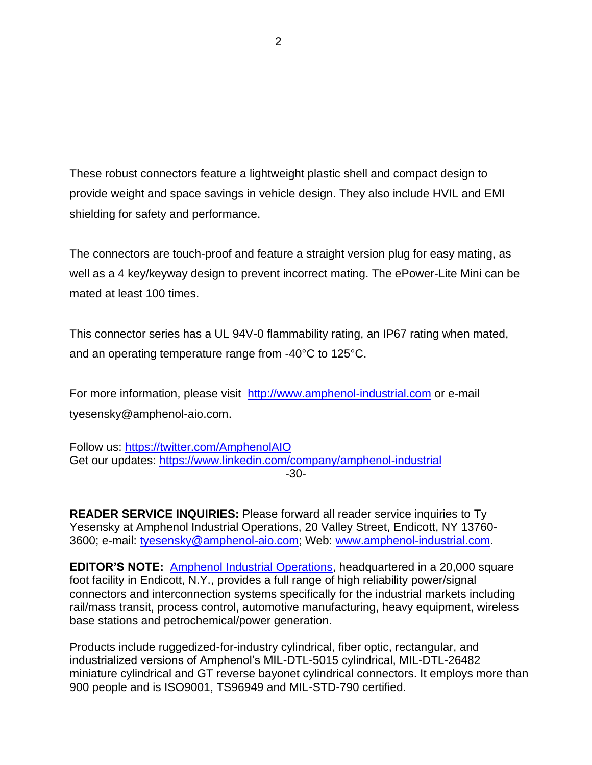These robust connectors feature a lightweight plastic shell and compact design to provide weight and space savings in vehicle design. They also include HVIL and EMI shielding for safety and performance.

The connectors are touch-proof and feature a straight version plug for easy mating, as well as a 4 key/keyway design to prevent incorrect mating. The ePower-Lite Mini can be mated at least 100 times.

This connector series has a UL 94V-0 flammability rating, an IP67 rating when mated, and an operating temperature range from -40°C to 125°C.

For more information, please visit [http://www.amphenol-industrial.com](http://www.amphenol-industrial.com/) or e-mail tyesensky@amphenol-aio.com.

Follow us: <https://twitter.com/AmphenolAIO> Get our updates: <https://www.linkedin.com/company/amphenol-industrial> -30-

**READER SERVICE INQUIRIES:** Please forward all reader service inquiries to Ty Yesensky at Amphenol Industrial Operations, 20 Valley Street, Endicott, NY 13760- 3600; e-mail: [tyesensky@amphenol-aio.com;](mailto:tyesensky@amphenol-aio.com) Web: [www.amphenol-industrial.com.](http://www.amphenol-industrial.com/)

**EDITOR'S NOTE:** [Amphenol Industrial O](http://www.amphenol-industrial.com/)perations, headquartered in a 20,000 square foot facility in Endicott, N.Y., provides a full range of high reliability power/signal connectors and interconnection systems specifically for the industrial markets including rail/mass transit, process control, automotive manufacturing, heavy equipment, wireless base stations and petrochemical/power generation.

Products include ruggedized-for-industry cylindrical, fiber optic, rectangular, and industrialized versions of Amphenol's MIL-DTL-5015 cylindrical, MIL-DTL-26482 miniature cylindrical and GT reverse bayonet cylindrical connectors. It employs more than 900 people and is ISO9001, TS96949 and MIL-STD-790 certified.